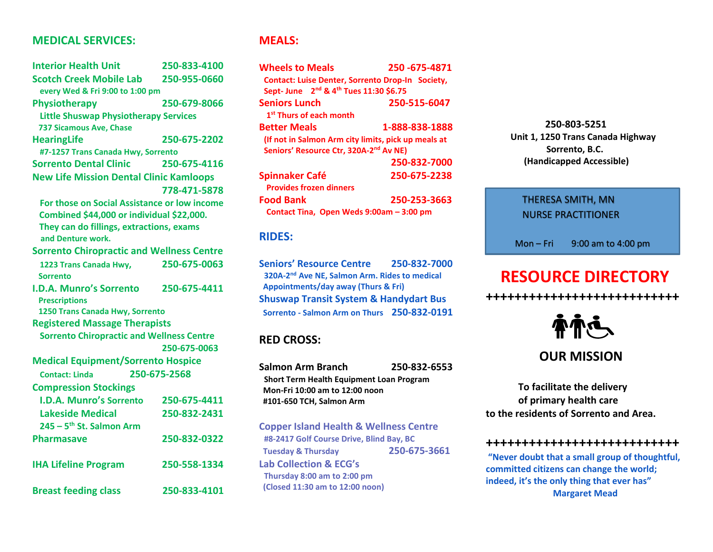### **MEDICAL SERVICES:**

| <b>Interior Health Unit</b>                                   | 250-833-4100 |  |
|---------------------------------------------------------------|--------------|--|
| <b>Scotch Creek Mobile Lab</b>                                | 250-955-0660 |  |
| every Wed & Fri 9:00 to 1:00 pm                               |              |  |
| Physiotherapy                                                 | 250-679-8066 |  |
| <b>Little Shuswap Physiotherapy Services</b>                  |              |  |
| 737 Sicamous Ave, Chase                                       |              |  |
| <b>HearingLife</b>                                            | 250-675-2202 |  |
| #7-1257 Trans Canada Hwy, Sorrento                            |              |  |
| <b>Sorrento Dental Clinic</b>                                 | 250-675-4116 |  |
| <b>New Life Mission Dental Clinic Kamloops</b>                |              |  |
|                                                               | 778-471-5878 |  |
| For those on Social Assistance or low income                  |              |  |
| Combined \$44,000 or individual \$22,000.                     |              |  |
| They can do fillings, extractions, exams<br>and Denture work. |              |  |
| <b>Sorrento Chiropractic and Wellness Centre</b>              |              |  |
| 1223 Trans Canada Hwy,<br>Sorrento                            | 250-675-0063 |  |
| <b>I.D.A. Munro's Sorrento</b>                                | 250-675-4411 |  |
| <b>Prescriptions</b>                                          |              |  |
| 1250 Trans Canada Hwy, Sorrento                               |              |  |
| <b>Registered Massage Therapists</b>                          |              |  |
| <b>Sorrento Chiropractic and Wellness Centre</b>              |              |  |
|                                                               | 250-675-0063 |  |
| <b>Medical Equipment/Sorrento Hospice</b>                     |              |  |
| <b>Contact: Linda</b>                                         | 250-675-2568 |  |
| <b>Compression Stockings</b>                                  |              |  |
| <b>I.D.A. Munro's Sorrento</b>                                | 250-675-4411 |  |
| <b>Lakeside Medical</b>                                       | 250-832-2431 |  |
| $245 - 5$ <sup>th</sup> St. Salmon Arm                        |              |  |
| <b>Pharmasave</b>                                             | 250-832-0322 |  |
| <b>IHA Lifeline Program</b>                                   | 250-558-1334 |  |

**Breast feeding class 250-833-4101**

**MEALS:**

| <b>Wheels to Meals</b>                                         | 250-675-4871   |  |
|----------------------------------------------------------------|----------------|--|
| <b>Contact: Luise Denter, Sorrento Drop-In Society,</b>        |                |  |
| Sept- June 2 <sup>nd</sup> & 4 <sup>th</sup> Tues 11:30 \$6.75 |                |  |
| <b>Seniors Lunch</b>                                           | 250-515-6047   |  |
| 1 <sup>st</sup> Thurs of each month                            |                |  |
| <b>Better Meals</b>                                            | 1-888-838-1888 |  |
| (If not in Salmon Arm city limits, pick up meals at            |                |  |
| Seniors' Resource Ctr, 320A-2 <sup>nd</sup> Av NE)             |                |  |
|                                                                | 250-832-7000   |  |
| <b>Spinnaker Café</b>                                          | 250-675-2238   |  |
| <b>Provides frozen dinners</b>                                 |                |  |
| <b>Food Bank</b>                                               | 250-253-3663   |  |
| Contact Tina, Open Weds 9:00am - 3:00 pm                       |                |  |

### **RIDES:**

**Seniors' Resource Centre 250-832-7000 320A-2 nd Ave NE, Salmon Arm. Rides to medical Appointments/day away (Thurs & Fri) Shuswap Transit System & Handydart Bus Sorrento - Salmon Arm on Thurs 250-832-0191**

### **RED CROSS:**

**Salmon Arm Branch 250-832-6553 Short Term Health Equipment Loan Program Mon-Fri 10:00 am to 12:00 noon #101-650 TCH, Salmon Arm Copper Island Health & Wellness Centre #8-2417 Golf Course Drive, Blind Bay, BC Tuesday & Thursday 250-675-3661 Lab Collection & ECG's** 

 **Thursday 8:00 am to 2:00 pm (Closed 11:30 am to 12:00 noon)**

 **250-803-5251 Unit 1, 1250 Trans Canada Highway Sorrento, B.C. (Handicapped Accessible)**

### **RESOURCE DIRECTITIONER** THERESA SMITH, MN

Mon – Fri 9:00 am to 4:00 pm

# **RESOURCE DIRECTORY**

**+++++++++++++++++++++++++++** 



## **OUR MISSION**

**To facilitate the delivery of primary health care to the residents of Sorrento and Area.**

#### **+++++++++++++++++++++++++++**

**"Never doubt that a small group of thoughtful, committed citizens can change the world; indeed, it's the only thing that ever has" Margaret Mead**